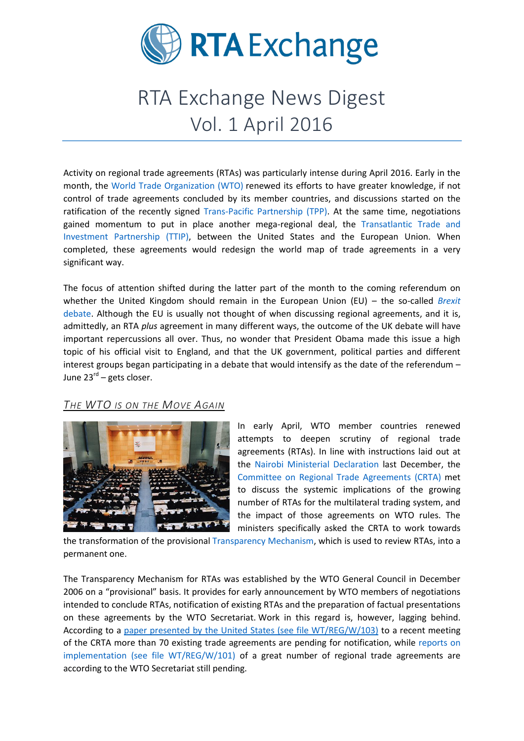

# RTA Exchange News Digest Vol. 1 April 2016

Activity on regional trade agreements (RTAs) was particularly intense during April 2016. Early in the month, the [World Trade Organization \(WTO\)](https://www.wto.org/) renewed its efforts to have greater knowledge, if not control of trade agreements concluded by its member countries, and discussions started on the ratification of the recently signed [Trans-Pacific Partnership \(TPP\).](https://ustr.gov/tpp/) At the same time, negotiations gained momentum to put in place another mega-regional deal, the [Transatlantic Trade and](https://ustr.gov/ttip)  [Investment Partnership \(TTIP\),](https://ustr.gov/ttip) between the United States and the European Union. When completed, these agreements would redesign the world map of trade agreements in a very significant way.

The focus of attention shifted during the latter part of the month to the coming referendum on whether the United Kingdom should remain in the European Union (EU) – the so-called *Brexit* [debate.](https://next.ft.com/eu-referendum) Although the EU is usually not thought of when discussing regional agreements, and it is, admittedly, an RTA *plus* agreement in many different ways, the outcome of the UK debate will have important repercussions all over. Thus, no wonder that President Obama made this issue a high topic of his official visit to England, and that the UK government, political parties and different interest groups began participating in a debate that would intensify as the date of the referendum – June 23<sup>rd</sup> – gets closer.

## *THE WTO IS ON THE MOVE AGAIN*



In early April, WTO member countries renewed attempts to deepen scrutiny of regional trade agreements (RTAs). In line with instructions laid out at the [Nairobi Ministerial Declaration](https://www.wto.org/english/thewto_e/minist_e/mc10_e/mindecision_e.htm) last December, the [Committee on Regional Trade Agreements](https://www.wto.org/english/tratop_e/region_e/regcom_e.htm) (CRTA) met to discuss the systemic implications of the growing number of RTAs for the multilateral trading system, and the impact of those agreements on WTO rules. The ministers specifically asked the CRTA to work towards

the transformation of the provisional [Transparency Mechanism,](https://www.wto.org/english/tratop_e/region_e/trans_mecha_e.htm) which is used to review RTAs, into a permanent one.

The Transparency Mechanism for RTAs was established by the WTO General Council in December 2006 on a "provisional" basis. It provides for early announcement by WTO members of negotiations intended to conclude RTAs, notification of existing RTAs and the preparation of factual presentations on these agreements by the WTO Secretariat. Work in this regard is, however, lagging behind. According to a [paper presented by the United States \(see file WT/REG/W/103\)](https://www.wto.org/english/news_e/news16_e/rta_08apr16_e.htm) to a recent meeting of the CRTA more than 70 existing trade agreements are pending for notification, while [reports on](https://www.wto.org/english/news_e/news16_e/rta_08apr16_e.htm)  [implementation \(see file WT/REG/W/101\)](https://www.wto.org/english/news_e/news16_e/rta_08apr16_e.htm) of a great number of regional trade agreements are according to the WTO Secretariat still pending.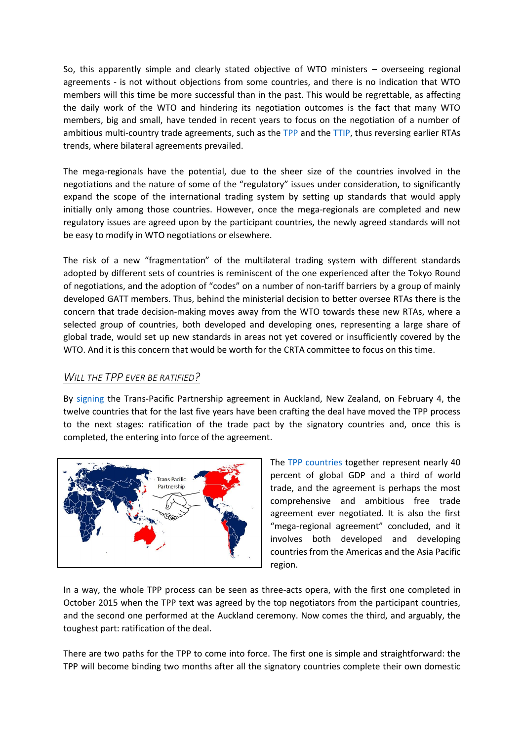So, this apparently simple and clearly stated objective of WTO ministers – overseeing regional agreements - is not without objections from some countries, and there is no indication that WTO members will this time be more successful than in the past. This would be regrettable, as affecting the daily work of the WTO and hindering its negotiation outcomes is the fact that many WTO members, big and small, have tended in recent years to focus on the negotiation of a number of ambitious multi-country trade agreements, such as the [TPP](https://ustr.gov/tpp/) and th[e TTIP,](https://ustr.gov/ttip) thus reversing earlier RTAs trends, where bilateral agreements prevailed.

The mega-regionals have the potential, due to the sheer size of the countries involved in the negotiations and the nature of some of the "regulatory" issues under consideration, to significantly expand the scope of the international trading system by setting up standards that would apply initially only among those countries. However, once the mega-regionals are completed and new regulatory issues are agreed upon by the participant countries, the newly agreed standards will not be easy to modify in WTO negotiations or elsewhere.

The risk of a new "fragmentation" of the multilateral trading system with different standards adopted by different sets of countries is reminiscent of the one experienced after the Tokyo Round of negotiations, and the adoption of "codes" on a number of non-tariff barriers by a group of mainly developed GATT members. Thus, behind the ministerial decision to better oversee RTAs there is the concern that trade decision-making moves away from the WTO towards these new RTAs, where a selected group of countries, both developed and developing ones, representing a large share of global trade, would set up new standards in areas not yet covered or insufficiently covered by the WTO. And it is this concern that would be worth for the CRTA committee to focus on this time.

### *WILL THE TPP EVER BE RATIFIED?*

By [signing](http://www.sice.oas.org/TPD/TPP/Negotiations/Official_signing_TPP_e.pdf) the Trans-Pacific Partnership agreement [in Auckland,](http://uk.reuters.com/article/us-trade-tpp-idUKKCN0VD08S) New Zealand, on February 4, the twelve countries that for the last five years have been crafting the deal have moved the TPP process to the next stages: ratification of the trade pact by the signatory countries and, once this is completed, the entering into force of the agreement.



The [TPP countries](https://ustr.gov/tpp/#what-is-tpp) together represent nearly 40 percent of global GDP and a third of world trade, and the agreement is perhaps the most comprehensive and ambitious free trade agreement ever negotiated. It is also the first "mega-regional agreement" concluded, and it involves both developed and developing countries from the Americas and the Asia Pacific region.

In a way, the whole TPP process can be seen as three-acts opera, with the first one completed in October 2015 when the TPP text was agreed by the top negotiators from the participant countries, and the second one performed at the Auckland ceremony. Now comes the third, and arguably, the toughest part: ratification of the deal.

There are two paths for the TPP to come into force. The first one is simple and straightforward: the TPP will become binding two months after all the signatory countries complete their own domestic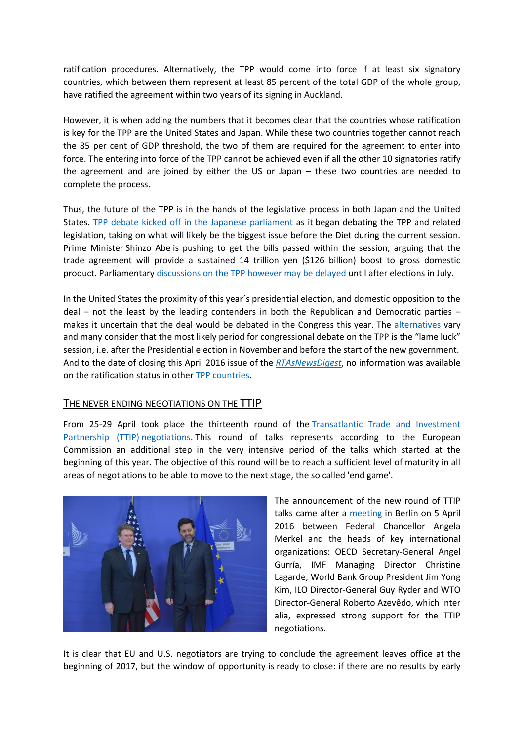ratification procedures. Alternatively, the TPP would come into force if at least six signatory countries, which between them represent at least 85 percent of the total GDP of the whole group, have ratified the agreement within two years of its signing in Auckland.

However, it is when adding the numbers that it becomes clear that the countries whose ratification is key for the TPP are the United States and Japan. While these two countries together cannot reach the 85 per cent of GDP threshold, the two of them are required for the agreement to enter into force. The entering into force of the TPP cannot be achieved even if all the other 10 signatories ratify the agreement and are joined by either the US or Japan – these two countries are needed to complete the process.

Thus, the future of the TPP is in the hands of the legislative process in both Japan and the United States. [TPP debate kicked off in the Japanese parliament](http://asia.nikkei.com/Politics-Economy/Policy-Politics/Japan-s-parliament-restarts-TPP-debate-but-ratification-window-closing) as it began debating the TPP and related legislation, taking on what will likely be the biggest issue before the Diet during the current session. Prime Minister [Shinzo Abe](javascript:void(0);) is pushing to get the bills passed within the session, arguing that the trade agreement will provide a sustained 14 trillion yen (\$126 billion) boost to gross domestic product. Parliamentary [discussions on the TPP however may be delayed](http://asia.nikkei.com/magazine/20160428-Commodities-crucible/Politics-Economy/Kumamoto-quake-relief-puts-Japan-s-TPP-debate-on-hold) until after elections in July.

In the United States the proximity of this year´s presidential election, and domestic opposition to the deal – not the least by the leading contenders in both the Republican and Democratic parties – makes it uncertain that the deal would be debated in the Congress this year. The [alternatives](http://www.brookings.edu/research/articles/2016/03/high-stakes-tpp-ratification-solis) vary and many consider that the most likely period for congressional debate on the TPP is the "lame luck" session, i.e. after the Presidential election in November and before the start of the new government. And to the date of closing this April 2016 issue of the *RTAsNewsDigest*, no information was available on the ratification status in other [TPP countries.](https://piie.com/blogs/trade-investment-policy-watch/tpp-timeline)

#### THE NEVER ENDING NEGOTIATIONS ON THE TTIP

From 25-29 April took place the thirteenth round of the [Transatlantic Trade and Investment](http://trade.ec.europa.eu/doclib/docs/2016/april/tradoc_154480.pdf)  [Partnership \(TTIP\)](http://trade.ec.europa.eu/doclib/docs/2016/april/tradoc_154480.pdf) negotiations. This round of talks represents according to the European Commission an additional step in the very intensive period of the talks which started at the beginning of this year. The objective of this round will be to reach a sufficient level of maturity in all areas of negotiations to be able to move to the next stage, the so called 'end game'.



The announcement of the new round of TTIP talks came after a [meeting](https://www.bundeskanzlerin.de/Content/DE/Pressemitteilungen/BPA/2016/04/2016-04-05-joint-communique-organisations-breg.html) in Berlin on 5 April 2016 between Federal Chancellor Angela Merkel and the heads of key international organizations: OECD Secretary-General Angel Gurría, IMF Managing Director Christine Lagarde, World Bank Group President Jim Yong Kim, ILO Director-General Guy Ryder and WTO Director-General Roberto Azevêdo, which inter alia, expressed strong support for the TTIP negotiations.

It is clear that EU and U.S. negotiators are trying to conclude the agreement leaves office at the beginning of 2017, but the window of opportunity is ready to close: if there are no results by early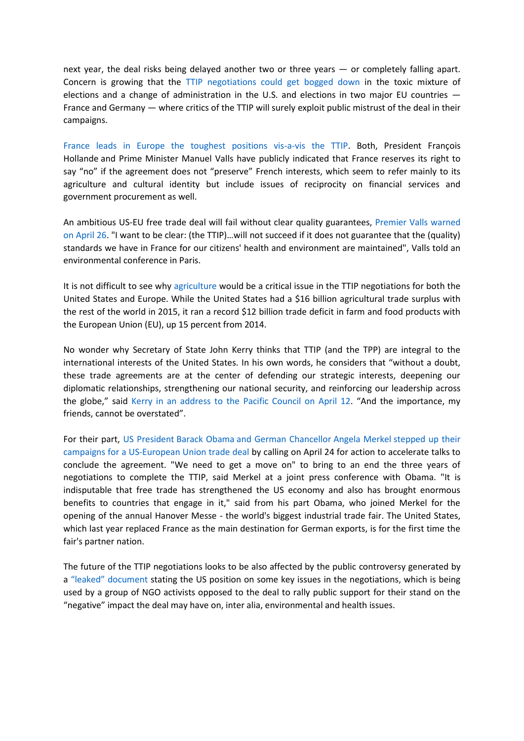next year, the deal risks being delayed another two or three years — or completely falling apart. Concern is growing that the [TTIP negotiations could get bogged down](http://www.politico.eu/article/ttip-last-chance-for-transatlantic-trade-pact-michael-froman-angela-merkel-cecilia-malmstroem/) in the toxic mixture of elections and a change of administration in the U.S. and elections in two major EU countries — France and Germany — where critics of the TTIP will surely exploit public mistrust of the deal in their campaigns.

[France leads in Europe the toughest positions vis-a-vis the TTIP.](http://www.globalpost.com/article/6765238/2016/04/26/chances-eu-us-trade-pact-fading) Both, President [François](http://elpais.com/tag/francois_hollande/a/)  [Hollande](http://elpais.com/tag/francois_hollande/a/) and Prime Minister [Manuel Valls](http://elpais.com/tag/manuel_valls/a/) have publicly indicated that France reserves its right to say "no" if the agreement does not "preserve" French interests, which seem to refer mainly to its agriculture and cultural identity but include issues of reciprocity on financial services and government procurement as well.

An ambitious US-EU free trade deal will fail without clear quality guarantees, Premier [Valls warned](http://internacional.elpais.com/internacional/2016/04/22/actualidad/1461338302_950717.html)  [on April 26](http://internacional.elpais.com/internacional/2016/04/22/actualidad/1461338302_950717.html). "I want to be clear: (the TTIP)…will not succeed if it does not guarantee that the (quality) standards we have in France for our citizens' health and environment are maintained", Valls told an environmental conference in Paris.

It is not difficult to see why [agriculture](http://www.fas.usda.gov/sites/default/files/2016-03/us-eu_trade_iatr_march_2016_0.pdf) would be a critical issue in the TTIP negotiations for both the United States and Europe. While the United States had a \$16 billion agricultural trade surplus with the rest of the world in 2015, it ran a record \$12 billion trade deficit in farm and food products with the European Union (EU), up 15 percent from 2014.

No wonder why Secretary of State John Kerry thinks that TTIP (and the TPP) are integral to the international interests of the United States. In his own words, he considers that "without a doubt, these trade agreements are at the center of defending our strategic interests, deepening our diplomatic relationships, strengthening our national security, and reinforcing our leadership across the globe," said [Kerry in an address to the Pacific Council on April 12](https://www.pacificcouncil.org/newsroom/secretary-kerry-trade-strengthens-us-global-leadership). "And the importance, my friends, cannot be overstated".

For their part, US President Barack Obama [and German Chancellor](http://www.nytimes.com/2016/04/25/world/europe/wary-of-big-business-germans-protest-trade-deal-as-obama-visits.html?_r=1) Angela Merkel stepped up their campaigns for a [US-European Union trade deal](http://www.nytimes.com/2016/04/25/world/europe/wary-of-big-business-germans-protest-trade-deal-as-obama-visits.html?_r=1) by calling on April 24 for action to accelerate talks to conclude the agreement. "We need to get a move on" to bring to an end the three years of negotiations to complete the TTIP, said Merkel at a joint press conference with Obama. "It is indisputable that free trade has strengthened the US economy and also has brought enormous benefits to countries that engage in it," said from his part Obama, who joined Merkel for the opening of the annual Hanover Messe - the world's biggest industrial trade fair. The United States, which last year replaced France as the main destination for German exports, is for the first time the fair's partner nation.

The future of the TTIP negotiations looks to be also affected by the public controversy generated by a ["leaked" document](https://ttip-leaks.org/) stating the US position on some key issues in the negotiations, which is being used by a group of NGO activists opposed to the deal to rally public support for their stand on the "negative" impact the deal may have on, inter alia, environmental and health issues.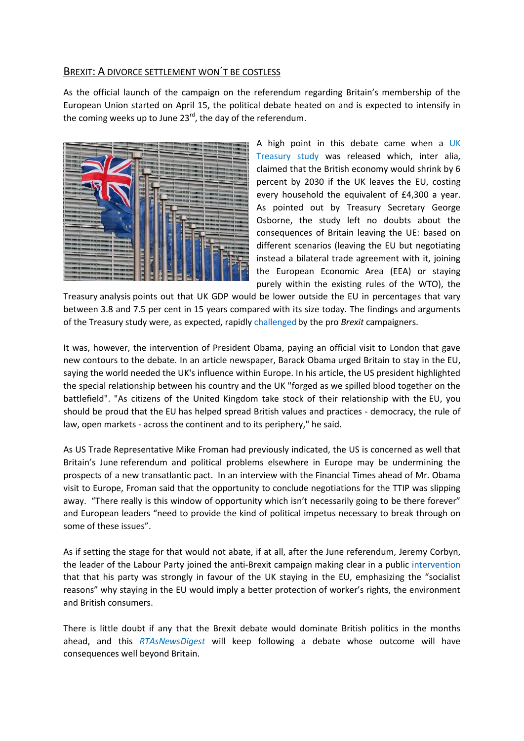## BREXIT: A DIVORCE SETTLEMENT WON´T BE COSTLESS

As the official launch of the campaign on the referendum regarding Britain's membership of the European Union started on April 15, the political debate heated on and is expected to intensify in the coming weeks up to June  $23^{rd}$ , the day of the referendum.



A high point in this debate came when a [UK](https://www.gov.uk/government/uploads/system/uploads/attachment_data/file/517415/treasury_analysis_economic_impact_of_eu_membership_web.pdf)  [Treasury study](https://www.gov.uk/government/uploads/system/uploads/attachment_data/file/517415/treasury_analysis_economic_impact_of_eu_membership_web.pdf) was released which, inter alia, claimed that the British economy would shrink by 6 percent by 2030 if the UK leaves the EU, costing every household the equivalent of £4,300 a year. As pointed out by Treasury Secretary George Osborne, the study left no doubts about the consequences of Britain leaving the UE: based on different scenarios (leaving the EU but negotiating instead a bilateral trade agreement with it, joining the European Economic Area (EEA) or staying purely within the existing rules of the WTO), the

Treasury [analysis](https://www.gov.uk/government/publications/hm-treasury-analysis-the-long-term-economic-impact-of-eu-membership-and-the-alternatives) points out that UK GDP would be lower outside the EU in percentages that vary between 3.8 and 7.5 per cent in 15 years compared with its size today. The findings and arguments of the Treasury study were, as expected, rapidly [challenged](http://www.economist.com/blogs/graphicdetail/2016/05/daily-chart-3?cid1=cust%2Fnoenew%2Fn%2Fn%2Fn%2F20160425n%2Fowned%2Fn%2Fn%2Fnwl%2Fn%2Fn%2FE%2Femail) by the pro *Brexit* campaigners.

It was, however, the intervention of President Obama, paying an official visit to London that gave new contours to the debate. In an [article](http://www.telegraph.co.uk/news/2016/04/21/as-your-friend-let-me-tell-you-that-the-eu-makes-britain-even-gr/) newspaper, [Barack Obama](javascript:void(0);) urged Britain to stay in the [EU,](javascript:void(0);) saying the world needed the UK's influence within Europe. In his article, the US president highlighted the special relationship between his country and the UK "forged as we spilled blood together on the battlefield". "As citizens of the United Kingdom take stock of their relationship with the [EU,](javascript:void(0);) you should be proud that the [EU](javascript:void(0);) has helped spread British values and practices - democracy, the rule of law, open markets - across the continent and to its periphery," he said.

As US Trade Representative Mike Froman had previously indicated, the US is concerned as well that Britain's June [referendum](javascript:void(0)) and political problems elsewhere in Europe may be undermining the prospects of a new transatlantic pact. In an [interview](file:///C:/Users/mrodriguez/Documents/US%20says%20Britain.pdf) with the Financial Times ahead of Mr. Obama visit to Europe, Froman said that the opportunity to conclude negotiations for the TTIP was slipping away. "There really is this window of opportunity which isn't necessarily going to be there forever" and European leaders "need to provide the kind of political impetus necessary to break through on some of these issues".

As if setting the stage for that would not abate, if at all, after the June referendum, Jeremy Corbyn, the leader of the Labour Party joined the anti-Brexit campaign making clear in a public [intervention](http://www.nytimes.com/2016/04/15/world/europe/jeremy-corbyn-european-union-brexit.html?_r=0) that that his party was strongly in favour of the UK staying in the EU, emphasizing the "socialist reasons" why staying in the EU would imply a better protection of worker's rights, the environment and British consumers.

There is little doubt if any that the Brexit debate would dominate British politics in the months ahead, and this *RTAsNewsDigest* will keep following a debate whose outcome will have consequences well beyond Britain.